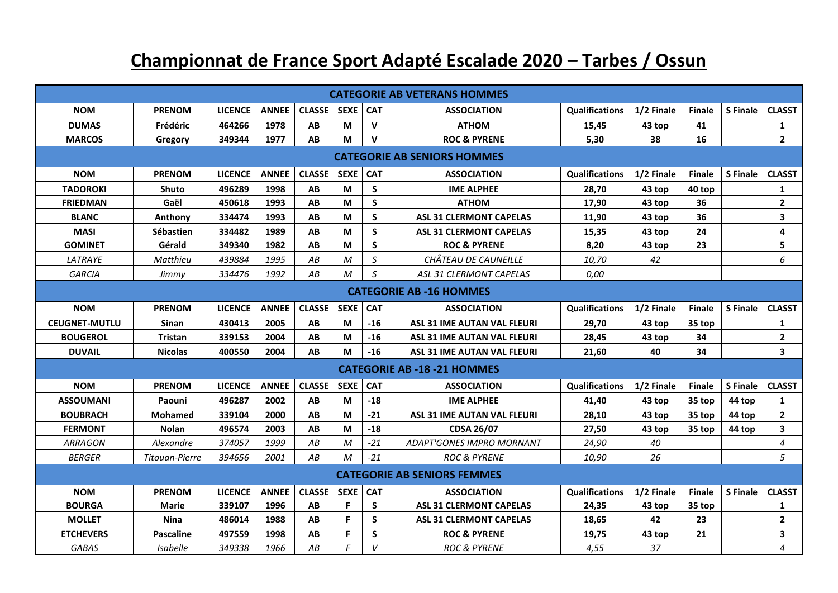## **Championnat de France Sport Adapté Escalade 2020 – Tarbes / Ossun**

|                                    |                  |                |              |               |             |               | <b>CATEGORIE AB VETERANS HOMMES</b> |                       |            |               |                 |                |
|------------------------------------|------------------|----------------|--------------|---------------|-------------|---------------|-------------------------------------|-----------------------|------------|---------------|-----------------|----------------|
| <b>NOM</b>                         | <b>PRENOM</b>    | <b>LICENCE</b> | <b>ANNEE</b> | <b>CLASSE</b> | <b>SEXE</b> | <b>CAT</b>    | <b>ASSOCIATION</b>                  | <b>Qualifications</b> | 1/2 Finale | <b>Finale</b> | S Finale        | <b>CLASST</b>  |
| <b>DUMAS</b>                       | Frédéric         | 464266         | 1978         | AB            | M           | V             | <b>ATHOM</b>                        | 15,45                 | 43 top     | 41            |                 | $\mathbf{1}$   |
| <b>MARCOS</b>                      | Gregory          | 349344         | 1977         | AB            | M           | $\mathbf v$   | <b>ROC &amp; PYRENE</b>             | 5,30                  | 38         | 16            |                 | $\mathbf{2}$   |
| <b>CATEGORIE AB SENIORS HOMMES</b> |                  |                |              |               |             |               |                                     |                       |            |               |                 |                |
| <b>NOM</b>                         | <b>PRENOM</b>    | <b>LICENCE</b> | <b>ANNEE</b> | <b>CLASSE</b> | <b>SEXE</b> | <b>CAT</b>    | <b>ASSOCIATION</b>                  | <b>Qualifications</b> | 1/2 Finale | <b>Finale</b> | <b>S</b> Finale | <b>CLASST</b>  |
| <b>TADOROKI</b>                    | Shuto            | 496289         | 1998         | AB            | M           | S             | <b>IME ALPHEE</b>                   | 28,70                 | 43 top     | 40 top        |                 | 1              |
| <b>FRIEDMAN</b>                    | Gaël             | 450618         | 1993         | AB            | M           | S             | <b>ATHOM</b>                        | 17,90                 | 43 top     | 36            |                 | $\overline{2}$ |
| <b>BLANC</b>                       | Anthony          | 334474         | 1993         | AB            | M           | S             | <b>ASL 31 CLERMONT CAPELAS</b>      | 11,90                 | 43 top     | 36            |                 | 3              |
| <b>MASI</b>                        | <b>Sébastien</b> | 334482         | 1989         | AB            | M           | S             | <b>ASL 31 CLERMONT CAPELAS</b>      | 15,35                 | 43 top     | 24            |                 | 4              |
| <b>GOMINET</b>                     | Gérald           | 349340         | 1982         | AB            | M           | S             | <b>ROC &amp; PYRENE</b>             | 8,20                  | 43 top     | 23            |                 | 5              |
| <b>LATRAYE</b>                     | Matthieu         | 439884         | 1995         | AB            | M           | S             | CHÂTEAU DE CAUNEILLE                | 10,70                 | 42         |               |                 | 6              |
| <b>GARCIA</b>                      | Jimmy            | 334476         | 1992         | АB            | M           | $\mathcal{S}$ | ASL 31 CLERMONT CAPELAS             | 0,00                  |            |               |                 |                |
| <b>CATEGORIE AB -16 HOMMES</b>     |                  |                |              |               |             |               |                                     |                       |            |               |                 |                |
| <b>NOM</b>                         | <b>PRENOM</b>    | <b>LICENCE</b> | <b>ANNEE</b> | <b>CLASSE</b> | <b>SEXE</b> | <b>CAT</b>    | <b>ASSOCIATION</b>                  | <b>Qualifications</b> | 1/2 Finale | <b>Finale</b> | <b>S</b> Finale | <b>CLASST</b>  |
| <b>CEUGNET-MUTLU</b>               | <b>Sinan</b>     | 430413         | 2005         | AB            | M           | $-16$         | ASL 31 IME AUTAN VAL FLEURI         | 29,70                 | 43 top     | 35 top        |                 | $\mathbf{1}$   |
| <b>BOUGEROL</b>                    | <b>Tristan</b>   | 339153         | 2004         | AB            | M           | $-16$         | <b>ASL 31 IME AUTAN VAL FLEURI</b>  | 28,45                 | 43 top     | 34            |                 | $\mathbf{2}$   |
| <b>DUVAIL</b>                      | <b>Nicolas</b>   | 400550         | 2004         | AB            | M           | $-16$         | ASL 31 IME AUTAN VAL FLEURI         | 21,60                 | 40         | 34            |                 | 3              |
|                                    |                  |                |              |               |             |               | <b>CATEGORIE AB -18 -21 HOMMES</b>  |                       |            |               |                 |                |
| <b>NOM</b>                         | <b>PRENOM</b>    | <b>LICENCE</b> | <b>ANNEE</b> | <b>CLASSE</b> | SEXE CAT    |               | <b>ASSOCIATION</b>                  | <b>Qualifications</b> | 1/2 Finale | <b>Finale</b> | <b>S</b> Finale | <b>CLASST</b>  |
| <b>ASSOUMANI</b>                   | Paouni           | 496287         | 2002         | AB            | M           | $-18$         | <b>IME ALPHEE</b>                   | 41,40                 | 43 top     | 35 top        | 44 top          | 1              |
| <b>BOUBRACH</b>                    | <b>Mohamed</b>   | 339104         | 2000         | AB            | M           | $-21$         | <b>ASL 31 IME AUTAN VAL FLEURI</b>  | 28,10                 | 43 top     | 35 top        | 44 top          | $\mathbf{2}$   |
| <b>FERMONT</b>                     | <b>Nolan</b>     | 496574         | 2003         | AB            | M           | $-18$         | <b>CDSA 26/07</b>                   | 27,50                 | 43 top     | 35 top        | 44 top          | 3              |
| <b>ARRAGON</b>                     | Alexandre        | 374057         | 1999         | AB            | M           | $-21$         | <b>ADAPT'GONES IMPRO MORNANT</b>    | 24,90                 | 40         |               |                 | 4              |
| <b>BERGER</b>                      | Titouan-Pierre   | 394656         | 2001         | AB            | M           | $-21$         | <b>ROC &amp; PYRENE</b>             | 10,90                 | 26         |               |                 | 5              |
|                                    |                  |                |              |               |             |               | <b>CATEGORIE AB SENIORS FEMMES</b>  |                       |            |               |                 |                |
| <b>NOM</b>                         | <b>PRENOM</b>    | <b>LICENCE</b> | <b>ANNEE</b> | <b>CLASSE</b> | <b>SEXE</b> | <b>CAT</b>    | <b>ASSOCIATION</b>                  | <b>Qualifications</b> | 1/2 Finale | <b>Finale</b> | S Finale        | <b>CLASST</b>  |
| <b>BOURGA</b>                      | <b>Marie</b>     | 339107         | 1996         | AB            | F           | S             | <b>ASL 31 CLERMONT CAPELAS</b>      | 24,35                 | 43 top     | 35 top        |                 | 1              |
| <b>MOLLET</b>                      | <b>Nina</b>      | 486014         | 1988         | AB            | F           | S             | <b>ASL 31 CLERMONT CAPELAS</b>      | 18,65                 | 42         | 23            |                 | $\overline{2}$ |
| <b>ETCHEVERS</b>                   | <b>Pascaline</b> | 497559         | 1998         | AB            | F           | S             | <b>ROC &amp; PYRENE</b>             | 19,75                 | 43 top     | 21            |                 | 3              |
| <b>GABAS</b>                       | <b>Isabelle</b>  | 349338         | 1966         | AB            | F           | V             | <b>ROC &amp; PYRENE</b>             | 4,55                  | 37         |               |                 | 4              |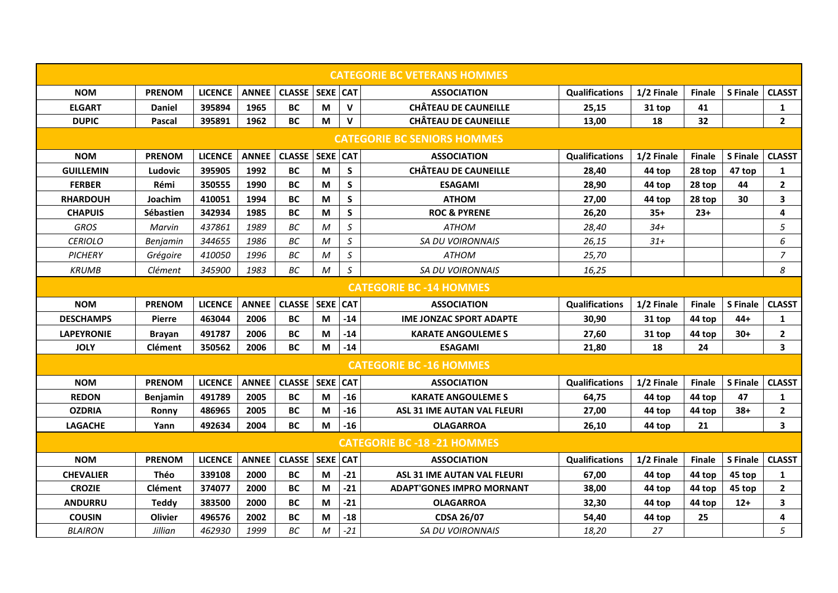|                                    |                  |                |              |                     |                 |               | <b>CATEGORIE BC VETERANS HOMMES</b> |                       |            |               |                 |                         |
|------------------------------------|------------------|----------------|--------------|---------------------|-----------------|---------------|-------------------------------------|-----------------------|------------|---------------|-----------------|-------------------------|
| <b>NOM</b>                         | <b>PRENOM</b>    | <b>LICENCE</b> | ANNEE        | CLASSE   SEXE   CAT |                 |               | <b>ASSOCIATION</b>                  | <b>Qualifications</b> | 1/2 Finale | <b>Finale</b> | S Finale        | <b>CLASST</b>           |
| <b>ELGART</b>                      | <b>Daniel</b>    | 395894         | 1965         | <b>BC</b>           | М               | v             | <b>CHÂTEAU DE CAUNEILLE</b>         | 25,15                 | 31 top     | 41            |                 | 1                       |
| <b>DUPIC</b>                       | Pascal           | 395891         | 1962         | <b>BC</b>           | M               | $\mathbf v$   | <b>CHÂTEAU DE CAUNEILLE</b>         | 13,00                 | 18         | 32            |                 | $\overline{2}$          |
| <b>CATEGORIE BC SENIORS HOMMES</b> |                  |                |              |                     |                 |               |                                     |                       |            |               |                 |                         |
| <b>NOM</b>                         | <b>PRENOM</b>    | <b>LICENCE</b> | <b>ANNEE</b> | CLASSE   SEXE   CAT |                 |               | <b>ASSOCIATION</b>                  | Qualifications        | 1/2 Finale | <b>Finale</b> | S Finale        | <b>CLASST</b>           |
| <b>GUILLEMIN</b>                   | Ludovic          | 395905         | 1992         | <b>BC</b>           | M               | S             | <b>CHÂTEAU DE CAUNEILLE</b>         | 28,40                 | 44 top     | 28 top        | 47 top          | 1                       |
| <b>FERBER</b>                      | Rémi             | 350555         | 1990         | <b>BC</b>           | M               | S             | <b>ESAGAMI</b>                      | 28,90                 | 44 top     | 28 top        | 44              | $\overline{2}$          |
| <b>RHARDOUH</b>                    | Joachim          | 410051         | 1994         | <b>BC</b>           | M               | S             | <b>ATHOM</b>                        | 27,00                 | 44 top     | 28 top        | 30              | 3                       |
| <b>CHAPUIS</b>                     | <b>Sébastien</b> | 342934         | 1985         | <b>BC</b>           | M               | S             | <b>ROC &amp; PYRENE</b>             | 26,20                 | $35+$      | $23+$         |                 | $\overline{4}$          |
| GROS                               | Marvin           | 437861         | 1989         | BC                  | $\mathcal M$    | $\mathcal{S}$ | ATHOM                               | 28,40                 | $34+$      |               |                 | 5                       |
| <b>CERIOLO</b>                     | Benjamin         | 344655         | 1986         | BC                  | M               | $\mathcal S$  | <b>SA DU VOIRONNAIS</b>             | 26,15                 | $31+$      |               |                 | 6                       |
| <b>PICHERY</b>                     | Grégoire         | 410050         | 1996         | ВC                  | M               | $\mathsf S$   | <b>ATHOM</b>                        | 25,70                 |            |               |                 | $\overline{z}$          |
| <b>KRUMB</b>                       | Clément          | 345900         | 1983         | <b>BC</b>           | M               | S             | <b>SA DU VOIRONNAIS</b>             | 16,25                 |            |               |                 | 8                       |
| <b>CATEGORIE BC -14 HOMMES</b>     |                  |                |              |                     |                 |               |                                     |                       |            |               |                 |                         |
| <b>NOM</b>                         | <b>PRENOM</b>    | <b>LICENCE</b> | <b>ANNEE</b> | <b>CLASSE</b>       | <b>SEXE</b>     | <b>CAT</b>    | <b>ASSOCIATION</b>                  | <b>Qualifications</b> | 1/2 Finale | <b>Finale</b> | <b>S</b> Finale | <b>CLASST</b>           |
| <b>DESCHAMPS</b>                   | <b>Pierre</b>    | 463044         | 2006         | <b>BC</b>           | M               | $-14$         | <b>IME JONZAC SPORT ADAPTE</b>      | 30,90                 | 31 top     | 44 top        | $44+$           | $\mathbf{1}$            |
| <b>LAPEYRONIE</b>                  | <b>Brayan</b>    | 491787         | 2006         | <b>BC</b>           | M               | $-14$         | <b>KARATE ANGOULEME S</b>           | 27,60                 | 31 top     | 44 top        | $30+$           | $\overline{2}$          |
| <b>JOLY</b>                        | <b>Clément</b>   | 350562         | 2006         | <b>BC</b>           | M               | $-14$         | <b>ESAGAMI</b>                      | 21,80                 | 18         | 24            |                 | 3                       |
|                                    |                  |                |              |                     |                 |               | <b>CATEGORIE BC - 16 HOMMES</b>     |                       |            |               |                 |                         |
| <b>NOM</b>                         | <b>PRENOM</b>    | <b>LICENCE</b> | <b>ANNEE</b> | <b>CLASSE</b>       | <b>SEXE</b>     | <b>CAT</b>    | <b>ASSOCIATION</b>                  | <b>Qualifications</b> | 1/2 Finale | <b>Finale</b> | <b>S</b> Finale | <b>CLASST</b>           |
| <b>REDON</b>                       | <b>Benjamin</b>  | 491789         | 2005         | <b>BC</b>           | M               | $-16$         | <b>KARATE ANGOULEME S</b>           | 64,75                 | 44 top     | 44 top        | 47              | $\mathbf{1}$            |
| <b>OZDRIA</b>                      | Ronny            | 486965         | 2005         | <b>BC</b>           | M               | $-16$         | ASL 31 IME AUTAN VAL FLEURI         | 27,00                 | 44 top     | 44 top        | $38+$           | $\overline{2}$          |
| <b>LAGACHE</b>                     | Yann             | 492634         | 2004         | <b>BC</b>           | M               | $-16$         | <b>OLAGARROA</b>                    | 26,10                 | 44 top     | 21            |                 | $\overline{\mathbf{3}}$ |
|                                    |                  |                |              |                     |                 |               | <b>CATEGORIE BC -18 -21 HOMMES</b>  |                       |            |               |                 |                         |
| <b>NOM</b>                         | <b>PRENOM</b>    | <b>LICENCE</b> | <b>ANNEE</b> | <b>CLASSE</b>       | <b>SEXE CAT</b> |               | <b>ASSOCIATION</b>                  | <b>Qualifications</b> | 1/2 Finale | <b>Finale</b> | <b>S</b> Finale | <b>CLASST</b>           |
| <b>CHEVALIER</b>                   | Théo             | 339108         | 2000         | <b>BC</b>           | М               | $-21$         | <b>ASL 31 IME AUTAN VAL FLEURI</b>  | 67,00                 | 44 top     | 44 top        | 45 top          | $\mathbf{1}$            |
| <b>CROZIE</b>                      | <b>Clément</b>   | 374077         | 2000         | <b>BC</b>           | M               | $-21$         | <b>ADAPT'GONES IMPRO MORNANT</b>    | 38,00                 | 44 top     | 44 top        | 45 top          | $\overline{2}$          |
| <b>ANDURRU</b>                     | Teddy            | 383500         | 2000         | <b>BC</b>           | М               | $-21$         | <b>OLAGARROA</b>                    | 32,30                 | 44 top     | 44 top        | $12+$           | 3                       |
| <b>COUSIN</b>                      | <b>Olivier</b>   | 496576         | 2002         | <b>BC</b>           | M               | $-18$         | <b>CDSA 26/07</b>                   | 54,40                 | 44 top     | 25            |                 | $\overline{4}$          |
| <b>BLAIRON</b>                     | Jillian          | 462930         | 1999         | BC                  | $\mathcal M$    | $-21$         | <b>SA DU VOIRONNAIS</b>             | 18,20                 | 27         |               |                 | 5                       |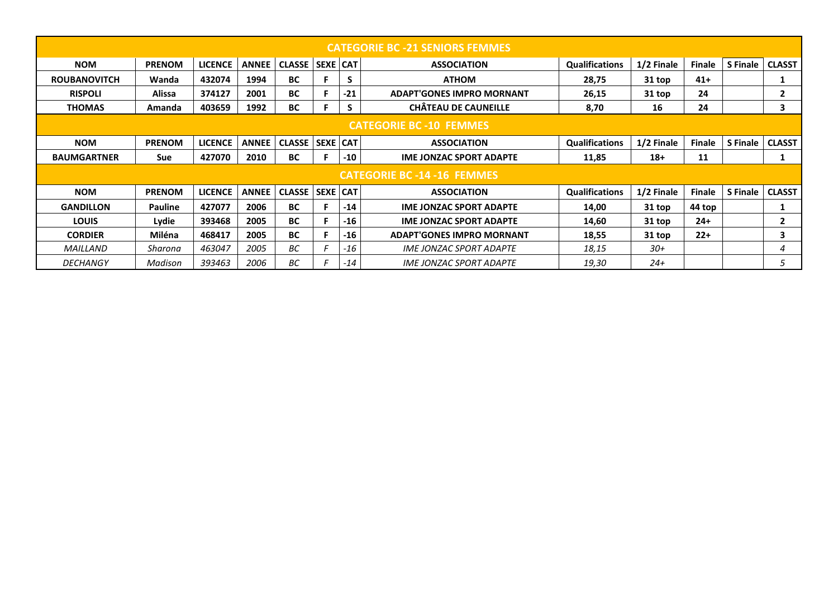| <b>CATEGORIE BC -21 SENIORS FEMMES</b> |                |                |              |               |                 |       |                                       |                       |            |               |                 |               |
|----------------------------------------|----------------|----------------|--------------|---------------|-----------------|-------|---------------------------------------|-----------------------|------------|---------------|-----------------|---------------|
| <b>NOM</b>                             | <b>PRENOM</b>  | <b>LICENCE</b> | <b>ANNEE</b> | <b>CLASSE</b> | <b>SEXE CAT</b> |       | <b>ASSOCIATION</b>                    | <b>Qualifications</b> | 1/2 Finale | <b>Finale</b> | <b>S</b> Finale | <b>CLASST</b> |
| <b>ROUBANOVITCH</b>                    | Wanda          | 432074         | 1994         | <b>BC</b>     | F               | S     | <b>ATHOM</b>                          | 28,75                 | 31 top     | $41+$         |                 | 1             |
| <b>RISPOLI</b>                         | Alissa         | 374127         | 2001         | <b>BC</b>     |                 | $-21$ | <b>ADAPT'GONES IMPRO MORNANT</b>      | 26,15                 | 31 top     | 24            |                 | $\mathbf{2}$  |
| <b>THOMAS</b>                          | Amanda         | 403659         | 1992         | BC            | F               | S     | <b>CHÂTEAU DE CAUNEILLE</b>           | 8,70                  | 16         | 24            |                 | 3             |
| <b>CATEGORIE BC -10 FEMMES</b>         |                |                |              |               |                 |       |                                       |                       |            |               |                 |               |
| <b>NOM</b>                             | <b>PRENOM</b>  | <b>LICENCE</b> | <b>ANNEE</b> | <b>CLASSE</b> | <b>SEXE CAT</b> |       | <b>ASSOCIATION</b>                    | <b>Qualifications</b> | 1/2 Finale | <b>Finale</b> | <b>S</b> Finale | <b>CLASST</b> |
| <b>BAUMGARTNER</b>                     | Sue            | 427070         | 2010         | <b>BC</b>     |                 | $-10$ | <b>IME JONZAC SPORT ADAPTE</b>        | 11,85                 | $18+$      | 11            |                 | 1             |
| <b>CATEGORIE BC -14 -16 FEMMES</b>     |                |                |              |               |                 |       |                                       |                       |            |               |                 |               |
| <b>NOM</b>                             | <b>PRENOM</b>  | <b>LICENCE</b> | <b>ANNEE</b> | <b>CLASSE</b> | <b>SEXE CAT</b> |       | <b>ASSOCIATION</b>                    | <b>Qualifications</b> | 1/2 Finale | <b>Finale</b> | <b>S</b> Finale | <b>CLASST</b> |
| <b>GANDILLON</b>                       | <b>Pauline</b> | 427077         | 2006         | <b>BC</b>     |                 | $-14$ | <b>IME JONZAC SPORT ADAPTE</b>        | 14,00                 | 31 top     | 44 top        |                 |               |
| <b>LOUIS</b>                           | Lydie          | 393468         | 2005         | <b>BC</b>     | F.              | $-16$ | <b>IME JONZAC SPORT ADAPTE</b>        | 14,60                 | 31 top     | $24+$         |                 | $\mathbf{2}$  |
| <b>CORDIER</b>                         | Miléna         | 468417         | 2005         | <b>BC</b>     | F               | $-16$ | <b>ADAPT'GONES IMPRO MORNANT</b>      | 18,55                 | 31 top     | $22+$         |                 | 3             |
| MAILLAND                               | Sharona        | 463047         | 2005         | ВC            | E               | -16   | <i><b>IME JONZAC SPORT ADAPTE</b></i> | 18,15                 | $30+$      |               |                 | 4             |
| <b>DECHANGY</b>                        | Madison        | 393463         | 2006         | ВC            | F               | -14   | <i><b>IME JONZAC SPORT ADAPTE</b></i> | 19,30                 | $24+$      |               |                 | 5             |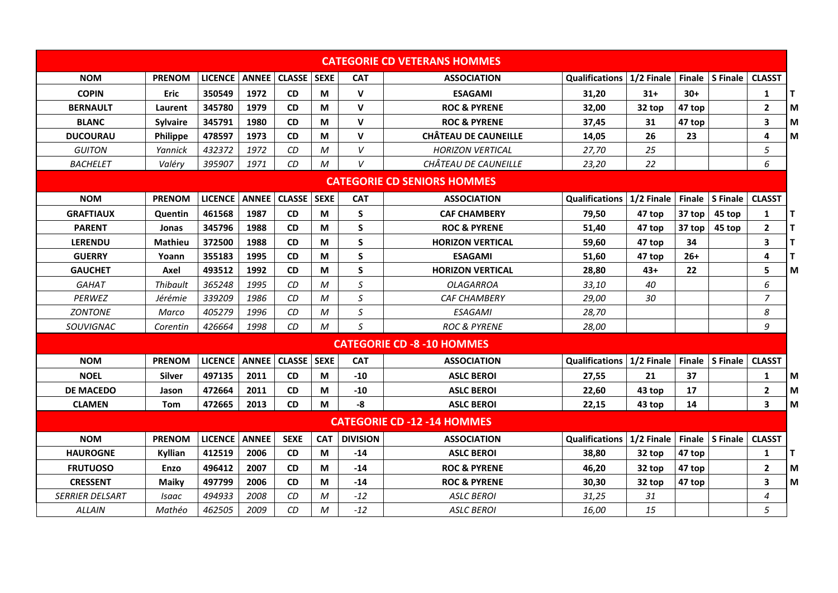|                                    |                 |                |              |                     |              |                 | <b>CATEGORIE CD VETERANS HOMMES</b> |                       |            |        |                   |                         |   |
|------------------------------------|-----------------|----------------|--------------|---------------------|--------------|-----------------|-------------------------------------|-----------------------|------------|--------|-------------------|-------------------------|---|
| <b>NOM</b>                         | <b>PRENOM</b>   | <b>LICENCE</b> | <b>ANNEE</b> | <b>CLASSE</b>       | <b>SEXE</b>  | <b>CAT</b>      | <b>ASSOCIATION</b>                  | Qualifications        | 1/2 Finale |        | Finale   S Finale | <b>CLASST</b>           |   |
| <b>COPIN</b>                       | Eric            | 350549         | 1972         | <b>CD</b>           | M            | $\mathsf{v}$    | <b>ESAGAMI</b>                      | 31,20                 | $31+$      | $30+$  |                   | $\mathbf{1}$            | T |
| <b>BERNAULT</b>                    | Laurent         | 345780         | 1979         | <b>CD</b>           | M            | $\mathsf{V}$    | <b>ROC &amp; PYRENE</b>             | 32,00                 | 32 top     | 47 top |                   | $\mathbf{2}$            | M |
| <b>BLANC</b>                       | <b>Sylvaire</b> | 345791         | 1980         | <b>CD</b>           | M            | V               | <b>ROC &amp; PYRENE</b>             | 37,45                 | 31         | 47 top |                   | 3                       | M |
| <b>DUCOURAU</b>                    | <b>Philippe</b> | 478597         | 1973         | <b>CD</b>           | M            | $\mathbf v$     | <b>CHÂTEAU DE CAUNEILLE</b>         | 14,05                 | 26         | 23     |                   | 4                       | M |
| <b>GUITON</b>                      | Yannick         | 432372         | 1972         | CD                  | M            | V               | <b>HORIZON VERTICAL</b>             | 27,70                 | 25         |        |                   | 5                       |   |
| <b>BACHELET</b>                    | Valéry          | 395907         | 1971         | CD                  | M            | V               | CHÂTEAU DE CAUNEILLE                | 23,20                 | 22         |        |                   | 6                       |   |
| <b>CATEGORIE CD SENIORS HOMMES</b> |                 |                |              |                     |              |                 |                                     |                       |            |        |                   |                         |   |
| <b>NOM</b>                         | <b>PRENOM</b>   | <b>LICENCE</b> |              | <b>ANNEE CLASSE</b> | <b>SEXE</b>  | <b>CAT</b>      | <b>ASSOCIATION</b>                  | <b>Qualifications</b> | 1/2 Finale |        | Finale   S Finale | <b>CLASST</b>           |   |
| <b>GRAFTIAUX</b>                   | Quentin         | 461568         | 1987         | <b>CD</b>           | M            | S               | <b>CAF CHAMBERY</b>                 | 79,50                 | 47 top     | 37 top | 45 top            | 1                       | T |
| <b>PARENT</b>                      | Jonas           | 345796         | 1988         | <b>CD</b>           | M            | S               | <b>ROC &amp; PYRENE</b>             | 51,40                 | 47 top     | 37 top | 45 top            | $\overline{\mathbf{2}}$ | T |
| <b>LERENDU</b>                     | Mathieu         | 372500         | 1988         | <b>CD</b>           | M            | S               | <b>HORIZON VERTICAL</b>             | 59.60                 | 47 top     | 34     |                   | 3                       | T |
| <b>GUERRY</b>                      | Yoann           | 355183         | 1995         | <b>CD</b>           | M            | S               | <b>ESAGAMI</b>                      | 51,60                 | 47 top     | $26+$  |                   | 4                       | T |
| <b>GAUCHET</b>                     | Axel            | 493512         | 1992         | <b>CD</b>           | M            | S               | <b>HORIZON VERTICAL</b>             | 28,80                 | $43+$      | 22     |                   | 5                       | M |
| <b>GAHAT</b>                       | Thibault        | 365248         | 1995         | CD                  | M            | S               | <b>OLAGARROA</b>                    | 33,10                 | 40         |        |                   | 6                       |   |
| PERWEZ                             | Jérémie         | 339209         | 1986         | CD                  | M            | S               | <b>CAF CHAMBERY</b>                 | 29,00                 | 30         |        |                   | $\overline{7}$          |   |
| <b>ZONTONE</b>                     | Marco           | 405279         | 1996         | CD                  | M            | S               | <b>ESAGAMI</b>                      | 28,70                 |            |        |                   | 8                       |   |
| SOUVIGNAC                          | Corentin        | 426664         | 1998         | CD                  | $\mathcal M$ | S               | <b>ROC &amp; PYRENE</b>             | 28,00                 |            |        |                   | 9                       |   |
|                                    |                 |                |              |                     |              |                 | <b>CATEGORIE CD -8 -10 HOMMES</b>   |                       |            |        |                   |                         |   |
| <b>NOM</b>                         | <b>PRENOM</b>   | <b>LICENCE</b> | <b>ANNEE</b> | <b>CLASSE</b>       | <b>SEXE</b>  | <b>CAT</b>      | <b>ASSOCIATION</b>                  | <b>Qualifications</b> | 1/2 Finale |        | Finale   S Finale | <b>CLASST</b>           |   |
| <b>NOEL</b>                        | <b>Silver</b>   | 497135         | 2011         | <b>CD</b>           | M            | -10             | <b>ASLC BEROI</b>                   | 27,55                 | 21         | 37     |                   | 1                       | M |
| <b>DE MACEDO</b>                   | Jason           | 472664         | 2011         | <b>CD</b>           | M            | $-10$           | <b>ASLC BEROI</b>                   | 22,60                 | 43 top     | 17     |                   | $\overline{\mathbf{2}}$ | M |
| <b>CLAMEN</b>                      | <b>Tom</b>      | 472665         | 2013         | <b>CD</b>           | M            | -8              | <b>ASLC BEROI</b>                   | 22,15                 | 43 top     | 14     |                   | 3                       | M |
|                                    |                 |                |              |                     |              |                 | <b>CATEGORIE CD -12 -14 HOMMES</b>  |                       |            |        |                   |                         |   |
| <b>NOM</b>                         | <b>PRENOM</b>   | <b>LICENCE</b> | <b>ANNEE</b> | <b>SEXE</b>         | <b>CAT</b>   | <b>DIVISION</b> | <b>ASSOCIATION</b>                  | <b>Qualifications</b> | 1/2 Finale |        | Finale S Finale   | <b>CLASST</b>           |   |
| <b>HAUROGNE</b>                    | Kyllian         | 412519         | 2006         | <b>CD</b>           | M            | $-14$           | <b>ASLC BEROI</b>                   | 38,80                 | 32 top     | 47 top |                   | 1                       | T |
| <b>FRUTUOSO</b>                    | Enzo            | 496412         | 2007         | <b>CD</b>           | M            | -14             | <b>ROC &amp; PYRENE</b>             | 46,20                 | 32 top     | 47 top |                   | 2                       | M |
| <b>CRESSENT</b>                    | <b>Maiky</b>    | 497799         | 2006         | <b>CD</b>           | M            | $-14$           | <b>ROC &amp; PYRENE</b>             | 30,30                 | 32 top     | 47 top |                   | 3                       | M |
| <b>SERRIER DELSART</b>             | Isaac           | 494933         | 2008         | CD                  | M            | $-12$           | ASLC BEROI                          | 31,25                 | 31         |        |                   | 4                       |   |
| <b>ALLAIN</b>                      | Mathéo          | 462505         | 2009         | CD                  | M            | $-12$           | <b>ASLC BEROI</b>                   | 16,00                 | 15         |        |                   | 5                       |   |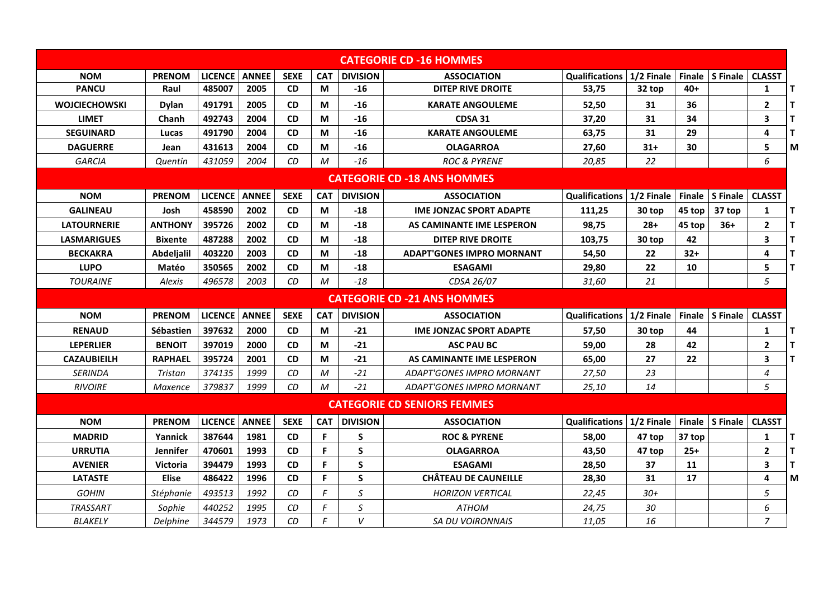|                                    | <b>CATEGORIE CD -16 HOMMES</b> |                 |              |             |            |                 |                                    |                                    |            |               |                        |                |              |
|------------------------------------|--------------------------------|-----------------|--------------|-------------|------------|-----------------|------------------------------------|------------------------------------|------------|---------------|------------------------|----------------|--------------|
| <b>NOM</b>                         | <b>PRENOM</b>                  | <b>LICENCE</b>  | <b>ANNEE</b> | <b>SEXE</b> | <b>CAT</b> | <b>DIVISION</b> | <b>ASSOCIATION</b>                 | <b>Qualifications   1/2 Finale</b> |            | <b>Finale</b> | <b>S</b> Finale        | <b>CLASST</b>  |              |
| <b>PANCU</b>                       | Raul                           | 485007          | 2005         | <b>CD</b>   | М          | -16             | DITEP RIVE DROITE                  | 53,75                              | 32 top     | $40+$         |                        | $\mathbf{1}$   | $\mathbf T$  |
| <b>WOJCIECHOWSKI</b>               | <b>Dylan</b>                   | 491791          | 2005         | <b>CD</b>   | M          | $-16$           | <b>KARATE ANGOULEME</b>            | 52,50                              | 31         | 36            |                        | $\mathbf{2}$   | T            |
| <b>LIMET</b>                       | Chanh                          | 492743          | 2004         | <b>CD</b>   | М          | -16             | <b>CDSA 31</b>                     | 37.20                              | 31         | 34            |                        | 3              | т            |
| <b>SEGUINARD</b>                   | Lucas                          | 491790          | 2004         | <b>CD</b>   | М          | -16             | <b>KARATE ANGOULEME</b>            | 63,75                              | 31         | 29            |                        | 4              | T            |
| <b>DAGUERRE</b>                    | Jean                           | 431613          | 2004         | <b>CD</b>   | M          | -16             | <b>OLAGARROA</b>                   | 27,60                              | 31+        | 30            |                        | 5              | M            |
| <b>GARCIA</b>                      | Quentin                        | 431059          | 2004         | CD          | M          | $-16$           | <b>ROC &amp; PYRENE</b>            | 20,85                              | 22         |               |                        | 6              |              |
| <b>CATEGORIE CD -18 ANS HOMMES</b> |                                |                 |              |             |            |                 |                                    |                                    |            |               |                        |                |              |
| <b>NOM</b>                         | <b>PRENOM</b>                  | <b>LICENCE</b>  | <b>ANNEE</b> | <b>SEXE</b> | <b>CAT</b> | <b>DIVISION</b> | <b>ASSOCIATION</b>                 | Qualifications   1/2 Finale        |            |               | Finale S Finale        | <b>CLASST</b>  |              |
| <b>GALINEAU</b>                    | Josh                           | 458590          | 2002         | <b>CD</b>   | М          | -18             | <b>IME JONZAC SPORT ADAPTE</b>     | 111,25                             | 30 top     | 45 top        | 37 top                 | 1              | Т            |
| <b>LATOURNERIE</b>                 | <b>ANTHONY</b>                 | 395726          | 2002         | <b>CD</b>   | M          | -18             | AS CAMINANTE IME LESPERON          | 98,75                              | $28+$      | 45 top        | $36+$                  | $\mathbf{2}$   | $\mathsf{T}$ |
| <b>LASMARIGUES</b>                 | <b>Bixente</b>                 | 487288          | 2002         | <b>CD</b>   | M          | -18             | <b>DITEP RIVE DROITE</b>           | 103,75                             | 30 top     | 42            |                        | 3              | $\mathbf T$  |
| <b>BECKAKRA</b>                    | Abdeljalil                     | 403220          | 2003         | <b>CD</b>   | М          | -18             | <b>ADAPT'GONES IMPRO MORNANT</b>   | 54.50                              | 22         | $32+$         |                        | 4              | Т            |
| <b>LUPO</b>                        | Matéo                          | 350565          | 2002         | <b>CD</b>   | М          | -18             | <b>ESAGAMI</b>                     | 29,80                              | 22         | 10            |                        | 5              | т            |
| <b>TOURAINE</b>                    | Alexis                         | 496578          | 2003         | CD          | M          | $-18$           | CDSA 26/07                         | 31,60                              | 21         |               |                        | 5              |              |
| <b>CATEGORIE CD -21 ANS HOMMES</b> |                                |                 |              |             |            |                 |                                    |                                    |            |               |                        |                |              |
| <b>NOM</b>                         | <b>PRENOM</b>                  | LICENCE   ANNEE |              | <b>SEXE</b> | <b>CAT</b> | <b>DIVISION</b> | <b>ASSOCIATION</b>                 | <b>Qualifications</b>              | 1/2 Finale |               | Finale S Finale        | <b>CLASST</b>  |              |
| <b>RENAUD</b>                      | <b>Sébastien</b>               | 397632          | 2000         | <b>CD</b>   | М          | -21             | <b>IME JONZAC SPORT ADAPTE</b>     | 57,50                              | 30 top     | 44            |                        | 1              | $\mathsf{T}$ |
| <b>LEPERLIER</b>                   | <b>BENOIT</b>                  | 397019          | 2000         | <b>CD</b>   | M          | $-21$           | <b>ASC PAU BC</b>                  | 59,00                              | 28         | 42            |                        | $\mathbf{2}$   | T            |
| <b>CAZAUBIEILH</b>                 | <b>RAPHAEL</b>                 | 395724          | 2001         | <b>CD</b>   | M          | $-21$           | AS CAMINANTE IME LESPERON          | 65,00                              | 27         | 22            |                        | 3              | T            |
| <b>SERINDA</b>                     | Tristan                        | 374135          | 1999         | CD          | M          | $-21$           | ADAPT'GONES IMPRO MORNANT          | 27,50                              | 23         |               |                        | $\overline{4}$ |              |
| <b>RIVOIRE</b>                     | Maxence                        | 379837          | 1999         | <b>CD</b>   | M          | $-21$           | ADAPT'GONES IMPRO MORNANT          | 25,10                              | 14         |               |                        | 5              |              |
|                                    |                                |                 |              |             |            |                 | <b>CATEGORIE CD SENIORS FEMMES</b> |                                    |            |               |                        |                |              |
| <b>NOM</b>                         | <b>PRENOM</b>                  | <b>LICENCE</b>  | <b>ANNEE</b> | <b>SEXE</b> | <b>CAT</b> | <b>DIVISION</b> | <b>ASSOCIATION</b>                 | <b>Qualifications</b>              | 1/2 Finale |               | <b>Finale S</b> Finale | <b>CLASST</b>  |              |
| <b>MADRID</b>                      | Yannick                        | 387644          | 1981         | <b>CD</b>   | F.         | S               | <b>ROC &amp; PYRENE</b>            | 58,00                              | 47 top     | 37 top        |                        | 1              | ΙT           |
| <b>URRUTIA</b>                     | <b>Jennifer</b>                | 470601          | 1993         | <b>CD</b>   | F          | S               | <b>OLAGARROA</b>                   | 43,50                              | 47 top     | $25+$         |                        | $\mathbf{2}$   | T            |
| <b>AVENIER</b>                     | <b>Victoria</b>                | 394479          | 1993         | <b>CD</b>   | F          | S               | <b>ESAGAMI</b>                     | 28,50                              | 37         | 11            |                        | 3              | T            |
| <b>LATASTE</b>                     | <b>Elise</b>                   | 486422          | 1996         | <b>CD</b>   | F          | S               | <b>CHÂTEAU DE CAUNEILLE</b>        | 28,30                              | 31         | 17            |                        | 4              | M            |
| <b>GOHIN</b>                       | Stéphanie                      | 493513          | 1992         | <b>CD</b>   | F          | $\mathsf S$     | <b>HORIZON VERTICAL</b>            | 22,45                              | $30+$      |               |                        | 5              |              |
| <b>TRASSART</b>                    | Sophie                         | 440252          | 1995         | CD          | F          | S               | <b>ATHOM</b>                       | 24,75                              | 30         |               |                        | 6              |              |
| BLAKELY                            | Delphine                       | 344579          | 1973         | CD          | F          | V               | SA DU VOIRONNAIS                   | 11,05                              | 16         |               |                        | 7              |              |